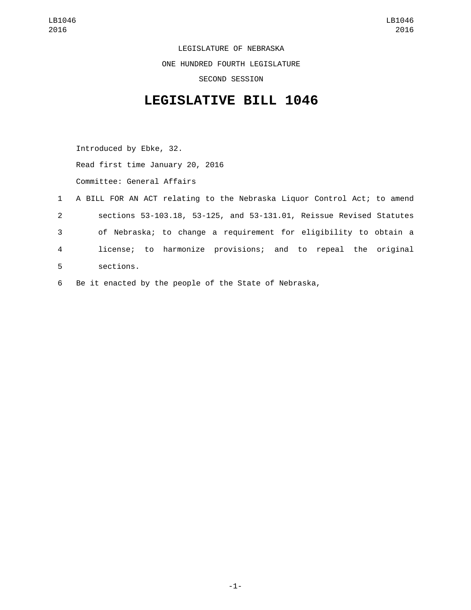LEGISLATURE OF NEBRASKA ONE HUNDRED FOURTH LEGISLATURE SECOND SESSION

## **LEGISLATIVE BILL 1046**

Introduced by Ebke, 32. Read first time January 20, 2016 Committee: General Affairs

- 1 A BILL FOR AN ACT relating to the Nebraska Liquor Control Act; to amend 2 sections 53-103.18, 53-125, and 53-131.01, Reissue Revised Statutes 3 of Nebraska; to change a requirement for eligibility to obtain a 4 license; to harmonize provisions; and to repeal the original sections.5
- 6 Be it enacted by the people of the State of Nebraska,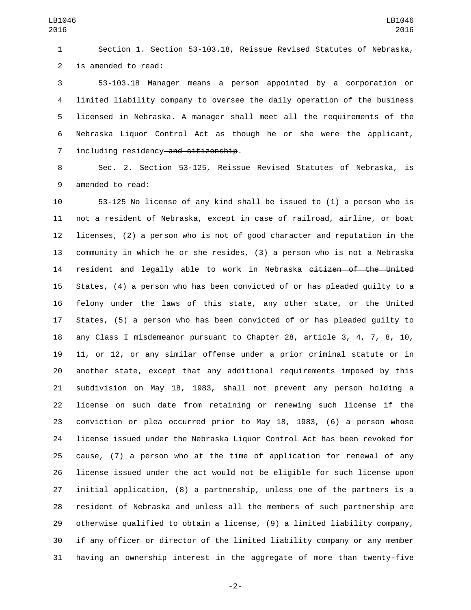Section 1. Section 53-103.18, Reissue Revised Statutes of Nebraska, 2 is amended to read:

 53-103.18 Manager means a person appointed by a corporation or limited liability company to oversee the daily operation of the business licensed in Nebraska. A manager shall meet all the requirements of the Nebraska Liquor Control Act as though he or she were the applicant, 7 including residency and citizenship.

 Sec. 2. Section 53-125, Reissue Revised Statutes of Nebraska, is 9 amended to read:

 53-125 No license of any kind shall be issued to (1) a person who is not a resident of Nebraska, except in case of railroad, airline, or boat licenses, (2) a person who is not of good character and reputation in the community in which he or she resides, (3) a person who is not a Nebraska 14 resident and legally able to work in Nebraska citizen of the United 15 States, (4) a person who has been convicted of or has pleaded quilty to a felony under the laws of this state, any other state, or the United States, (5) a person who has been convicted of or has pleaded guilty to any Class I misdemeanor pursuant to Chapter 28, article 3, 4, 7, 8, 10, 11, or 12, or any similar offense under a prior criminal statute or in another state, except that any additional requirements imposed by this subdivision on May 18, 1983, shall not prevent any person holding a license on such date from retaining or renewing such license if the conviction or plea occurred prior to May 18, 1983, (6) a person whose license issued under the Nebraska Liquor Control Act has been revoked for cause, (7) a person who at the time of application for renewal of any license issued under the act would not be eligible for such license upon initial application, (8) a partnership, unless one of the partners is a resident of Nebraska and unless all the members of such partnership are otherwise qualified to obtain a license, (9) a limited liability company, if any officer or director of the limited liability company or any member having an ownership interest in the aggregate of more than twenty-five

-2-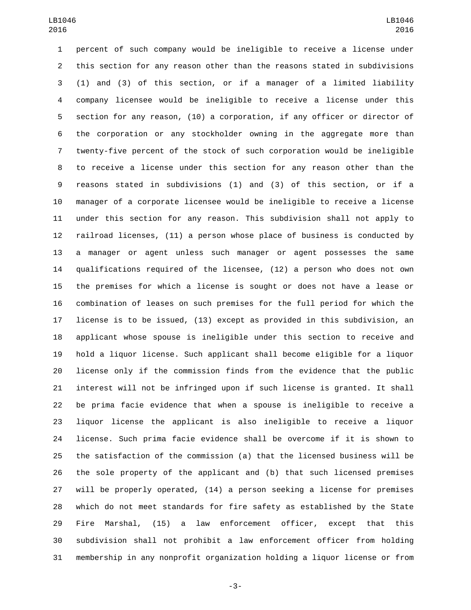percent of such company would be ineligible to receive a license under this section for any reason other than the reasons stated in subdivisions (1) and (3) of this section, or if a manager of a limited liability company licensee would be ineligible to receive a license under this section for any reason, (10) a corporation, if any officer or director of the corporation or any stockholder owning in the aggregate more than twenty-five percent of the stock of such corporation would be ineligible to receive a license under this section for any reason other than the reasons stated in subdivisions (1) and (3) of this section, or if a manager of a corporate licensee would be ineligible to receive a license under this section for any reason. This subdivision shall not apply to railroad licenses, (11) a person whose place of business is conducted by a manager or agent unless such manager or agent possesses the same qualifications required of the licensee, (12) a person who does not own the premises for which a license is sought or does not have a lease or combination of leases on such premises for the full period for which the license is to be issued, (13) except as provided in this subdivision, an applicant whose spouse is ineligible under this section to receive and hold a liquor license. Such applicant shall become eligible for a liquor license only if the commission finds from the evidence that the public interest will not be infringed upon if such license is granted. It shall be prima facie evidence that when a spouse is ineligible to receive a liquor license the applicant is also ineligible to receive a liquor license. Such prima facie evidence shall be overcome if it is shown to the satisfaction of the commission (a) that the licensed business will be the sole property of the applicant and (b) that such licensed premises will be properly operated, (14) a person seeking a license for premises which do not meet standards for fire safety as established by the State Fire Marshal, (15) a law enforcement officer, except that this subdivision shall not prohibit a law enforcement officer from holding membership in any nonprofit organization holding a liquor license or from

-3-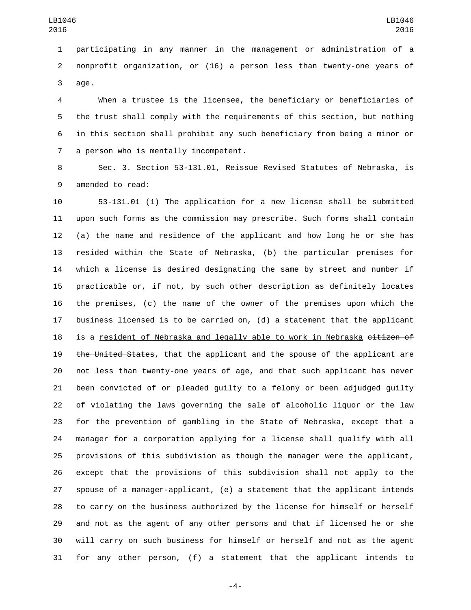participating in any manner in the management or administration of a nonprofit organization, or (16) a person less than twenty-one years of 3 age.

 When a trustee is the licensee, the beneficiary or beneficiaries of the trust shall comply with the requirements of this section, but nothing in this section shall prohibit any such beneficiary from being a minor or 7 a person who is mentally incompetent.

 Sec. 3. Section 53-131.01, Reissue Revised Statutes of Nebraska, is 9 amended to read:

 53-131.01 (1) The application for a new license shall be submitted upon such forms as the commission may prescribe. Such forms shall contain (a) the name and residence of the applicant and how long he or she has resided within the State of Nebraska, (b) the particular premises for which a license is desired designating the same by street and number if practicable or, if not, by such other description as definitely locates the premises, (c) the name of the owner of the premises upon which the business licensed is to be carried on, (d) a statement that the applicant 18 is a resident of Nebraska and legally able to work in Nebraska citizen of 19 the United States, that the applicant and the spouse of the applicant are not less than twenty-one years of age, and that such applicant has never been convicted of or pleaded guilty to a felony or been adjudged guilty of violating the laws governing the sale of alcoholic liquor or the law for the prevention of gambling in the State of Nebraska, except that a manager for a corporation applying for a license shall qualify with all provisions of this subdivision as though the manager were the applicant, except that the provisions of this subdivision shall not apply to the spouse of a manager-applicant, (e) a statement that the applicant intends to carry on the business authorized by the license for himself or herself and not as the agent of any other persons and that if licensed he or she will carry on such business for himself or herself and not as the agent for any other person, (f) a statement that the applicant intends to

-4-